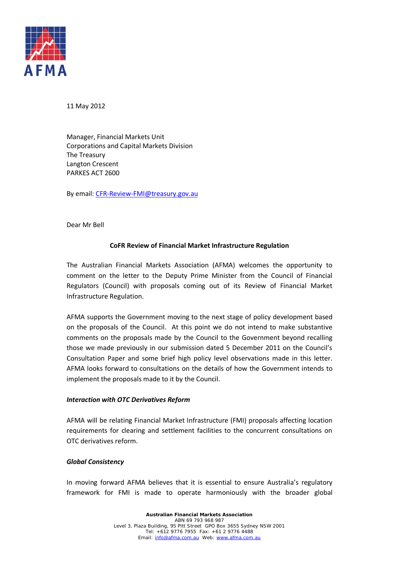

11 May 2012

Manager, Financial Markets Unit Corporations and Capital Markets Division The Treasury Langton Crescent PARKES ACT 2600

By email[: CFR-Review-FMI@treasury.gov.au](mailto:CFR-Review-FMI@treasury.gov.au)

Dear Mr Bell

# **CoFR Review of Financial Market Infrastructure Regulation**

The Australian Financial Markets Association (AFMA) welcomes the opportunity to comment on the letter to the Deputy Prime Minister from the Council of Financial Regulators (Council) with proposals coming out of its Review of Financial Market Infrastructure Regulation.

AFMA supports the Government moving to the next stage of policy development based on the proposals of the Council. At this point we do not intend to make substantive comments on the proposals made by the Council to the Government beyond recalling those we made previously in our submission dated 5 December 2011 on the Council's Consultation Paper and some brief high policy level observations made in this letter. AFMA looks forward to consultations on the details of how the Government intends to implement the proposals made to it by the Council.

### *Interaction with OTC Derivatives Reform*

AFMA will be relating Financial Market Infrastructure (FMI) proposals affecting location requirements for clearing and settlement facilities to the concurrent consultations on OTC derivatives reform.

### *Global Consistency*

In moving forward AFMA believes that it is essential to ensure Australia's regulatory framework for FMI is made to operate harmoniously with the broader global